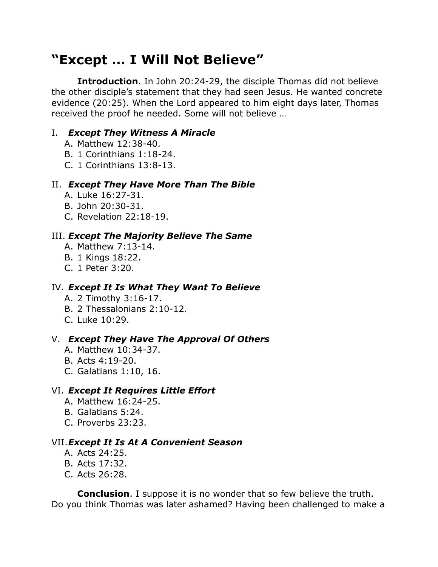# **"Except … I Will Not Believe"**

**Introduction**. In John 20:24-29, the disciple Thomas did not believe the other disciple's statement that they had seen Jesus. He wanted concrete evidence (20:25). When the Lord appeared to him eight days later, Thomas received the proof he needed. Some will not believe …

# I. *Except They Witness A Miracle*

- A. Matthew 12:38-40.
- B. 1 Corinthians 1:18-24.
- C. 1 Corinthians 13:8-13.

## II. *Except They Have More Than The Bible*

- A. Luke 16:27-31.
- B. John 20:30-31.
- C. Revelation 22:18-19.

## III. *Except The Majority Believe The Same*

- A. Matthew 7:13-14.
- B. 1 Kings 18:22.
- C. 1 Peter 3:20.

### IV. *Except It Is What They Want To Believe*

- A. 2 Timothy 3:16-17.
- B. 2 Thessalonians 2:10-12.
- C. Luke 10:29.

## V. *Except They Have The Approval Of Others*

- A. Matthew 10:34-37.
- B. Acts 4:19-20.
- C. Galatians 1:10, 16.

#### VI. *Except It Requires Little Effort*

- A. Matthew 16:24-25.
- B. Galatians 5:24.
- C. Proverbs 23:23.

#### VII.*Except It Is At A Convenient Season*

- A. Acts 24:25.
- B. Acts 17:32.
- C. Acts 26:28.

**Conclusion**. I suppose it is no wonder that so few believe the truth. Do you think Thomas was later ashamed? Having been challenged to make a